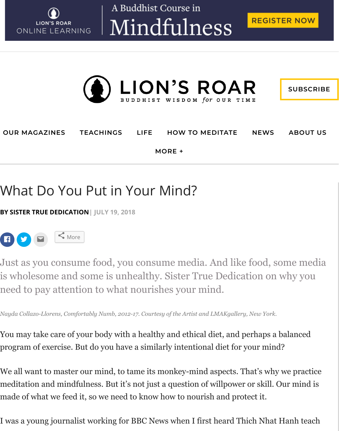

A Buddhist Course in Mindfulness





## **OUR MAGAZINES [TEACHINGS](https://www.lionsroar.com/category/buddhist-teachings/) [LIFE](https://www.lionsroar.com/category/life/) [HOW TO MEDITATE](https://www.lionsroar.com/category/how-to/) [NEWS](https://www.lionsroar.com/category/news/) [ABOUT US](https://www.lionsroar.com/about-us/) MORE +**

## What Do You Put in Your Mind?

**BY [SISTER TRUE DEDICATION](https://www.lionsroar.com/author/sister-true-dedication/)| JULY 19, 2018**



Just as you consume food, you consume media. And like food, some media is wholesome and some is unhealthy. Sister True Dedication on why you need to pay attention to what nourishes your mind.

*Nayda Collazo-Llorens, Comfortably Numb, 2012-17. Courtesy of the Artist and LMAKgallery, New York.*

You may take care of your body with a healthy and ethical diet, and perhaps a balanced program of exercise. But do you have a similarly intentional diet for your mind?

We all want to master our mind, to tame its monkey-mind aspects. That's why we practice meditation and mindfulness. But it's not just a question of willpower or skill. Our mind is made of what we feed it, so we need to know how to nourish and protect it.

I was a young journalist working for BBC News when I first heard Thich Nhat Hanh teach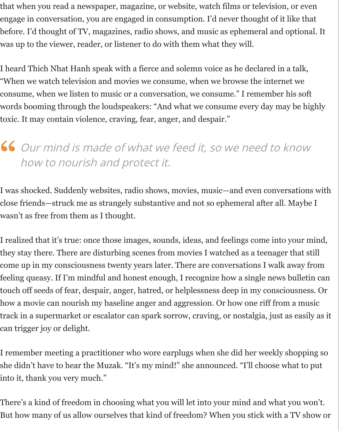that when you read a newspaper, magazine, or website, watch films or television, or even engage in conversation, you are engaged in consumption. I'd never thought of it like that before. I'd thought of TV, magazines, radio shows, and music as ephemeral and optional. It was up to the viewer, reader, or listener to do with them what they will.

I heard Thich Nhat Hanh speak with a fierce and solemn voice as he declared in a talk, "When we watch television and movies we consume, when we browse the internet we consume, when we listen to music or a conversation, we consume." I remember his soft words booming through the loudspeakers: "And what we consume every day may be highly toxic. It may contain violence, craving, fear, anger, and despair."

### Our mind is made of what we feed it, so we need to know how to nourish and protect it. **"**

I was shocked. Suddenly websites, radio shows, movies, music—and even conversations with close friends—struck me as strangely substantive and not so ephemeral after all. Maybe I wasn't as free from them as I thought.

I realized that it's true: once those images, sounds, ideas, and feelings come into your mind, they stay there. There are disturbing scenes from movies I watched as a teenager that still come up in my consciousness twenty years later. There are conversations I walk away from feeling queasy. If I'm mindful and honest enough, I recognize how a single news bulletin can touch off seeds of fear, despair, anger, hatred, or helplessness deep in my consciousness. Or how a movie can nourish my baseline anger and aggression. Or how one riff from a music track in a supermarket or escalator can spark sorrow, craving, or nostalgia, just as easily as it can trigger joy or delight.

I remember meeting a practitioner who wore earplugs when she did her weekly shopping so she didn't have to hear the Muzak. "It's my mind!" she announced. "I'll choose what to put into it, thank you very much."

There's a kind of freedom in choosing what you will let into your mind and what you won't. But how many of us allow ourselves that kind of freedom? When you stick with a TV show or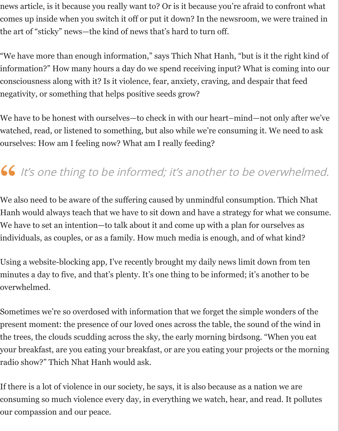news article, is it because you really want to? Or is it because you're afraid to confront what comes up inside when you switch it off or put it down? In the newsroom, we were trained in the art of "sticky" news—the kind of news that's hard to turn off.

"We have more than enough information," says Thich Nhat Hanh, "but is it the right kind of information?" How many hours a day do we spend receiving input? What is coming into our consciousness along with it? Is it violence, fear, anxiety, craving, and despair that feed negativity, or something that helps positive seeds grow?

We have to be honest with ourselves—to check in with our heart–mind—not only after we've watched, read, or listened to something, but also while we're consuming it. We need to ask ourselves: How am I feeling now? What am I really feeding?

### It's one thing to be informed; it's another to be overwhelmed. **"**

We also need to be aware of the suffering caused by unmindful consumption. Thich Nhat Hanh would always teach that we have to sit down and have a strategy for what we consume. We have to set an intention—to talk about it and come up with a plan for ourselves as individuals, as couples, or as a family. How much media is enough, and of what kind?

Using a website-blocking app, I've recently brought my daily news limit down from ten minutes a day to five, and that's plenty. It's one thing to be informed; it's another to be overwhelmed.

Sometimes we're so overdosed with information that we forget the simple wonders of the present moment: the presence of our loved ones across the table, the sound of the wind in the trees, the clouds scudding across the sky, the early morning birdsong. "When you eat your breakfast, are you eating your breakfast, or are you eating your projects or the morning radio show?" Thich Nhat Hanh would ask.

If there is a lot of violence in our society, he says, it is also because as a nation we are consuming so much violence every day, in everything we watch, hear, and read. It pollutes our compassion and our peace.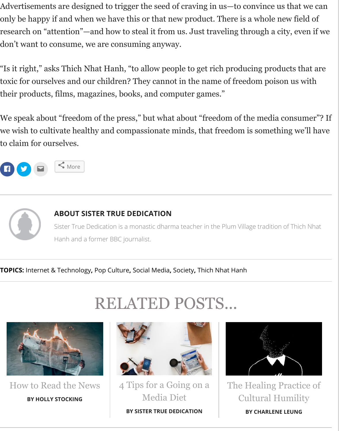Advertisements are designed to trigger the seed of craving in us—to convince us that we can only be happy if and when we have this or that new product. There is a whole new field of research on "attention"—and how to steal it from us. Just traveling through a city, even if we don't want to consume, we are consuming anyway.

"Is it right," asks Thich Nhat Hanh, "to allow people to get rich producing products that are toxic for ourselves and our children? They cannot in the name of freedom poison us with their products, films, magazines, books, and computer games."

We speak about "freedom of the press," but what about "freedom of the media consumer"? If we wish to cultivate healthy and compassionate minds, that freedom is something we'll have to claim for ourselves.



# **[ABOUT SISTER TRUE DEDICATION](https://www.lionsroar.com/author/sister-true-dedication/)**

Sister True Dedication is a monastic dharma teacher in the Plum Village tradition of Thich Nhat Hanh and a former BBC journalist.

**TOPICS:** [Internet & Technology](https://www.lionsroar.com/tag/internet-technology/)**,** [Pop Culture](https://www.lionsroar.com/tag/pop-culture/)**,** [Social Media](https://www.lionsroar.com/tag/social-media/)**,** [Society](https://www.lionsroar.com/tag/society/)**,** [Thich Nhat Hanh](https://www.lionsroar.com/tag/thich-nhat-hanh/)

# RELATED POSTS...



[How to Read the News](https://www.lionsroar.com/minding-the-news/) **BY HOLLY STOCKING**



[4 Tips for a Going on a](https://www.lionsroar.com/4-steps-to-a-healthy-media-diet/) Media Diet **BY SISTER TRUE DEDICATION**



[The Healing Practice of](https://www.lionsroar.com/the-healing-practice-of-cultural-humility/) Cultural Humility

**BY CHARLENE LEUNG**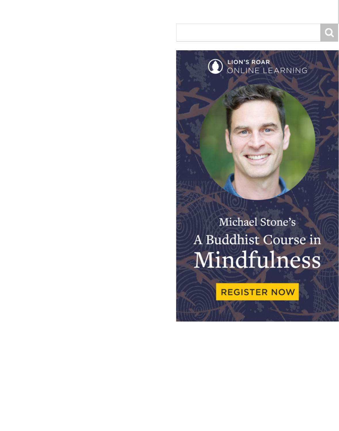LION'S ROAR<br>ONLINE LEARNING

## Michael Stone's A Buddhist Course in Mindfulness

**REGISTER NOW**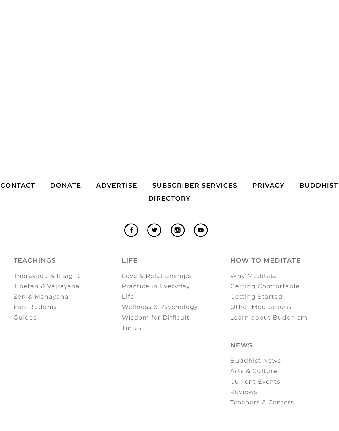### **[CONTACT](https://www.lionsroar.com/contact/) [DONATE](https://giving.lionsroar.com/) [ADVERTISE](https://www.lionsroar.com/advertise/) [SUBSCRIBER SERVICES](https://www.lionsroar.com/subscriber-services/) [PRIVACY](https://www.lionsroar.com/privacy-policy/) BUDDHIST DIRECTORY**



#### **TEACHINGS**

[Theravada & Insight](https://www.lionsroar.com/category/buddhist-teachings/theravada-insight-meditation/) [Tibetan & Vajrayana](https://www.lionsroar.com/category/buddhist-teachings/tibetan-vajrayana/) [Zen & Mahayana](https://www.lionsroar.com/category/buddhist-teachings/zen/) [Pan-Buddhist](https://www.lionsroar.com/category/buddhist-teachings/buddhist-philosophy/) [Guides](https://www.lionsroar.com/category/buddhist-teachings/guides/)

#### **LIFE**

[Love & Relationships](https://www.lionsroar.com/category/life/love-relationships/) [Practice in Everyday](https://www.lionsroar.com/category/life/practice-in-everyday-life/) Life [Wellness & Psychology](https://www.lionsroar.com/category/life/wellness-psychology/) [Wisdom for Difficult](https://www.lionsroar.com/category/life/wisdom-for-difficult-times/) Times

### **HOW TO MEDITATE**

[Why Meditate](https://www.lionsroar.com/category/how-to/how-to-meditate-why/) [Getting Comfortable](https://www.lionsroar.com/category/how-to/how-to-meditate-get-comfortable/) [Getting Started](https://www.lionsroar.com/category/how-to/how-to-meditate-get-started/) [Other Meditations](https://www.lionsroar.com/category/how-to/how-to-meditate-other/) [Learn about Buddhism](https://www.lionsroar.com/beginning-with-buddhism-and-meditation/)

#### **NEWS**

[Buddhist News](https://www.lionsroar.com/category/news/buddhist-news/) [Arts & Culture](https://www.lionsroar.com/category/news/arts-culture/) [Current Events](https://www.lionsroar.com/category/news/current-events/) [Reviews](https://www.lionsroar.com/category/news/reviews/) [Teachers & Centers](https://www.lionsroar.com/category/news/teachers/)